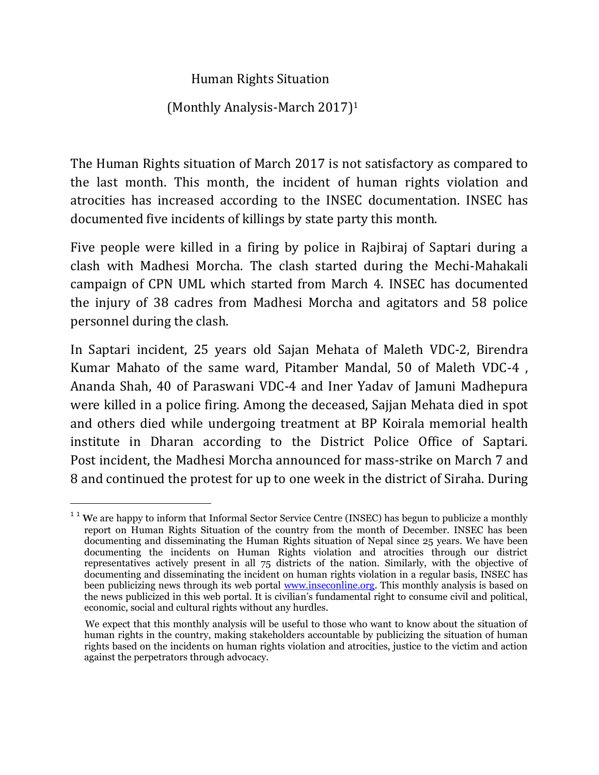## Human Rights Situation

## (Monthly Analysis-March 2017)<sup>1</sup>

The Human Rights situation of March 2017 is not satisfactory as compared to the last month. This month, the incident of human rights violation and atrocities has increased according to the INSEC documentation. INSEC has documented five incidents of killings by state party this month.

Five people were killed in a firing by police in Rajbiraj of Saptari during a clash with Madhesi Morcha. The clash started during the Mechi-Mahakali campaign of CPN UML which started from March 4. INSEC has documented the injury of 38 cadres from Madhesi Morcha and agitators and 58 police personnel during the clash.

In Saptari incident, 25 years old Sajan Mehata of Maleth VDC-2, Birendra Kumar Mahato of the same ward, Pitamber Mandal, 50 of Maleth VDC-4 , Ananda Shah, 40 of Paraswani VDC-4 and Iner Yadav of Jamuni Madhepura were killed in a police firing. Among the deceased, Sajjan Mehata died in spot and others died while undergoing treatment at BP Koirala memorial health institute in Dharan according to the District Police Office of Saptari. Post incident, the Madhesi Morcha announced for mass-strike on March 7 and 8 and continued the protest for up to one week in the district of Siraha. During

 $\overline{a}$ 

 $1<sup>1</sup>$  We are happy to inform that Informal Sector Service Centre (INSEC) has begun to publicize a monthly report on Human Rights Situation of the country from the month of December. INSEC has been documenting and disseminating the Human Rights situation of Nepal since 25 years. We have been documenting the incidents on Human Rights violation and atrocities through our district representatives actively present in all 75 districts of the nation. Similarly, with the objective of documenting and disseminating the incident on human rights violation in a regular basis, INSEC has been publicizing news through its web portal [www.inseconline.org.](http://www.inseconline.org/) This monthly analysis is based on the news publicized in this web portal. It is civilian's fundamental right to consume civil and political, economic, social and cultural rights without any hurdles.

We expect that this monthly analysis will be useful to those who want to know about the situation of human rights in the country, making stakeholders accountable by publicizing the situation of human rights based on the incidents on human rights violation and atrocities, justice to the victim and action against the perpetrators through advocacy.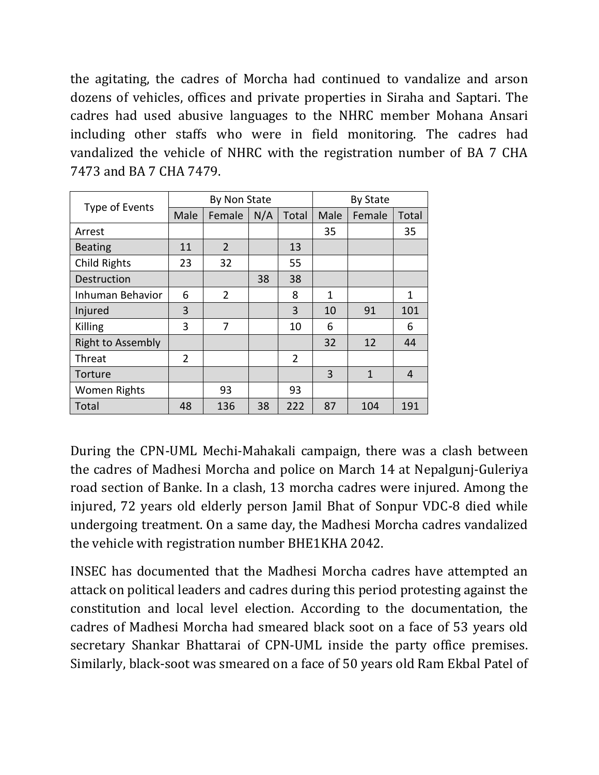the agitating, the cadres of Morcha had continued to vandalize and arson dozens of vehicles, offices and private properties in Siraha and Saptari. The cadres had used abusive languages to the NHRC member Mohana Ansari including other staffs who were in field monitoring. The cadres had vandalized the vehicle of NHRC with the registration number of BA 7 CHA 7473 and BA 7 CHA 7479.

| Type of Events           | By Non State   |                |     |                | <b>By State</b> |              |                |
|--------------------------|----------------|----------------|-----|----------------|-----------------|--------------|----------------|
|                          | Male           | Female         | N/A | Total          | Male            | Female       | Total          |
| Arrest                   |                |                |     |                | 35              |              | 35             |
| <b>Beating</b>           | 11             | $\overline{2}$ |     | 13             |                 |              |                |
| <b>Child Rights</b>      | 23             | 32             |     | 55             |                 |              |                |
| <b>Destruction</b>       |                |                | 38  | 38             |                 |              |                |
| Inhuman Behavior         | 6              | $\overline{2}$ |     | 8              | 1               |              | 1              |
| Injured                  | 3              |                |     | 3              | 10              | 91           | 101            |
| Killing                  | 3              | 7              |     | 10             | 6               |              | 6              |
| <b>Right to Assembly</b> |                |                |     |                | 32              | 12           | 44             |
| Threat                   | $\overline{2}$ |                |     | $\overline{2}$ |                 |              |                |
| Torture                  |                |                |     |                | 3               | $\mathbf{1}$ | $\overline{4}$ |
| Women Rights             |                | 93             |     | 93             |                 |              |                |
| Total                    | 48             | 136            | 38  | 222            | 87              | 104          | 191            |

During the CPN-UML Mechi-Mahakali campaign, there was a clash between the cadres of Madhesi Morcha and police on March 14 at Nepalgunj-Guleriya road section of Banke. In a clash, 13 morcha cadres were injured. Among the injured, 72 years old elderly person Jamil Bhat of Sonpur VDC-8 died while undergoing treatment. On a same day, the Madhesi Morcha cadres vandalized the vehicle with registration number BHE1KHA 2042.

INSEC has documented that the Madhesi Morcha cadres have attempted an attack on political leaders and cadres during this period protesting against the constitution and local level election. According to the documentation, the cadres of Madhesi Morcha had smeared black soot on a face of 53 years old secretary Shankar Bhattarai of CPN-UML inside the party office premises. Similarly, black-soot was smeared on a face of 50 years old Ram Ekbal Patel of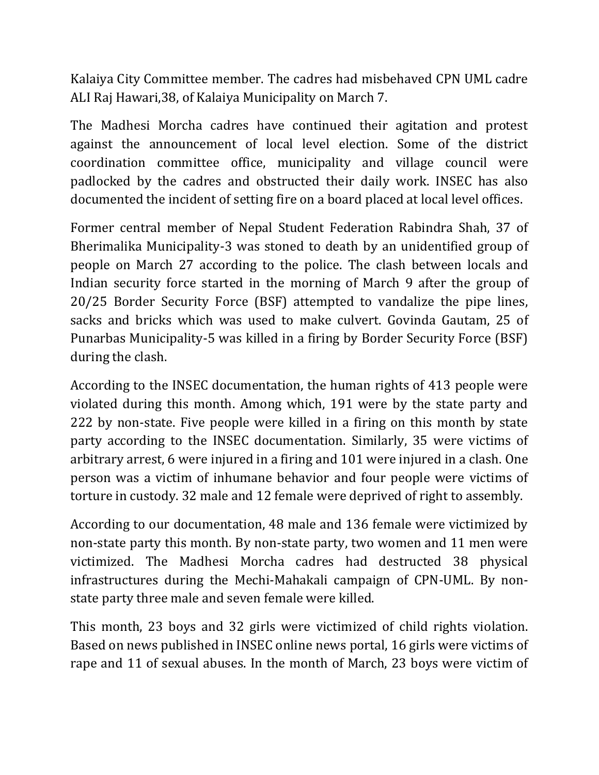Kalaiya City Committee member. The cadres had misbehaved CPN UML cadre ALI Raj Hawari,38, of Kalaiya Municipality on March 7.

The Madhesi Morcha cadres have continued their agitation and protest against the announcement of local level election. Some of the district coordination committee office, municipality and village council were padlocked by the cadres and obstructed their daily work. INSEC has also documented the incident of setting fire on a board placed at local level offices.

Former central member of Nepal Student Federation Rabindra Shah, 37 of Bherimalika Municipality-3 was stoned to death by an unidentified group of people on March 27 according to the police. The clash between locals and Indian security force started in the morning of March 9 after the group of 20/25 Border Security Force (BSF) attempted to vandalize the pipe lines, sacks and bricks which was used to make culvert. Govinda Gautam, 25 of Punarbas Municipality-5 was killed in a firing by Border Security Force (BSF) during the clash.

According to the INSEC documentation, the human rights of 413 people were violated during this month. Among which, 191 were by the state party and 222 by non-state. Five people were killed in a firing on this month by state party according to the INSEC documentation. Similarly, 35 were victims of arbitrary arrest, 6 were injured in a firing and 101 were injured in a clash. One person was a victim of inhumane behavior and four people were victims of torture in custody. 32 male and 12 female were deprived of right to assembly.

According to our documentation, 48 male and 136 female were victimized by non-state party this month. By non-state party, two women and 11 men were victimized. The Madhesi Morcha cadres had destructed 38 physical infrastructures during the Mechi-Mahakali campaign of CPN-UML. By nonstate party three male and seven female were killed.

This month, 23 boys and 32 girls were victimized of child rights violation. Based on news published in INSEC online news portal, 16 girls were victims of rape and 11 of sexual abuses. In the month of March, 23 boys were victim of